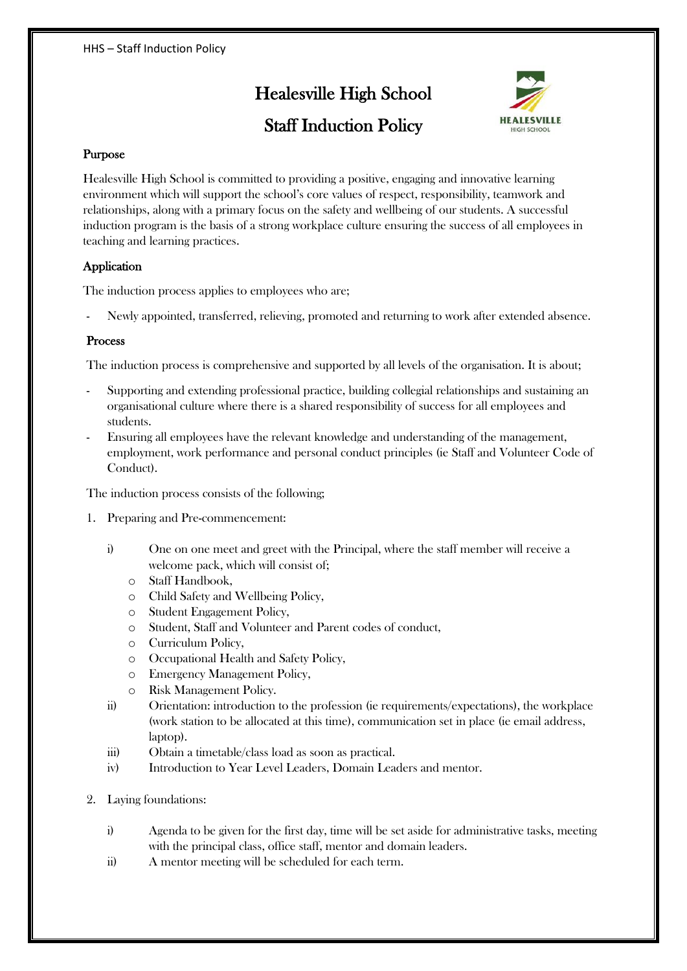# Healesville High School



## Staff Induction Policy

### Purpose

Healesville High School is committed to providing a positive, engaging and innovative learning environment which will support the school's core values of respect, responsibility, teamwork and relationships, along with a primary focus on the safety and wellbeing of our students. A successful induction program is the basis of a strong workplace culture ensuring the success of all employees in teaching and learning practices.

### Application

The induction process applies to employees who are;

- Newly appointed, transferred, relieving, promoted and returning to work after extended absence.

#### Process

The induction process is comprehensive and supported by all levels of the organisation. It is about;

- Supporting and extending professional practice, building collegial relationships and sustaining an organisational culture where there is a shared responsibility of success for all employees and students.
- Ensuring all employees have the relevant knowledge and understanding of the management, employment, work performance and personal conduct principles (ie Staff and Volunteer Code of Conduct).

The induction process consists of the following;

- 1. Preparing and Pre-commencement:
	- i) One on one meet and greet with the Principal, where the staff member will receive a welcome pack, which will consist of;
		- o Staff Handbook,
		- o Child Safety and Wellbeing Policy,
		- o Student Engagement Policy,
		- o Student, Staff and Volunteer and Parent codes of conduct,
		- o Curriculum Policy,
		- o Occupational Health and Safety Policy,
		- o Emergency Management Policy,
		- o Risk Management Policy.
	- ii) Orientation: introduction to the profession (ie requirements/expectations), the workplace (work station to be allocated at this time), communication set in place (ie email address, laptop).
	- iii) Obtain a timetable/class load as soon as practical.
	- iv) Introduction to Year Level Leaders, Domain Leaders and mentor.
- 2. Laying foundations:
	- i) Agenda to be given for the first day, time will be set aside for administrative tasks, meeting with the principal class, office staff, mentor and domain leaders.
	- ii) A mentor meeting will be scheduled for each term.